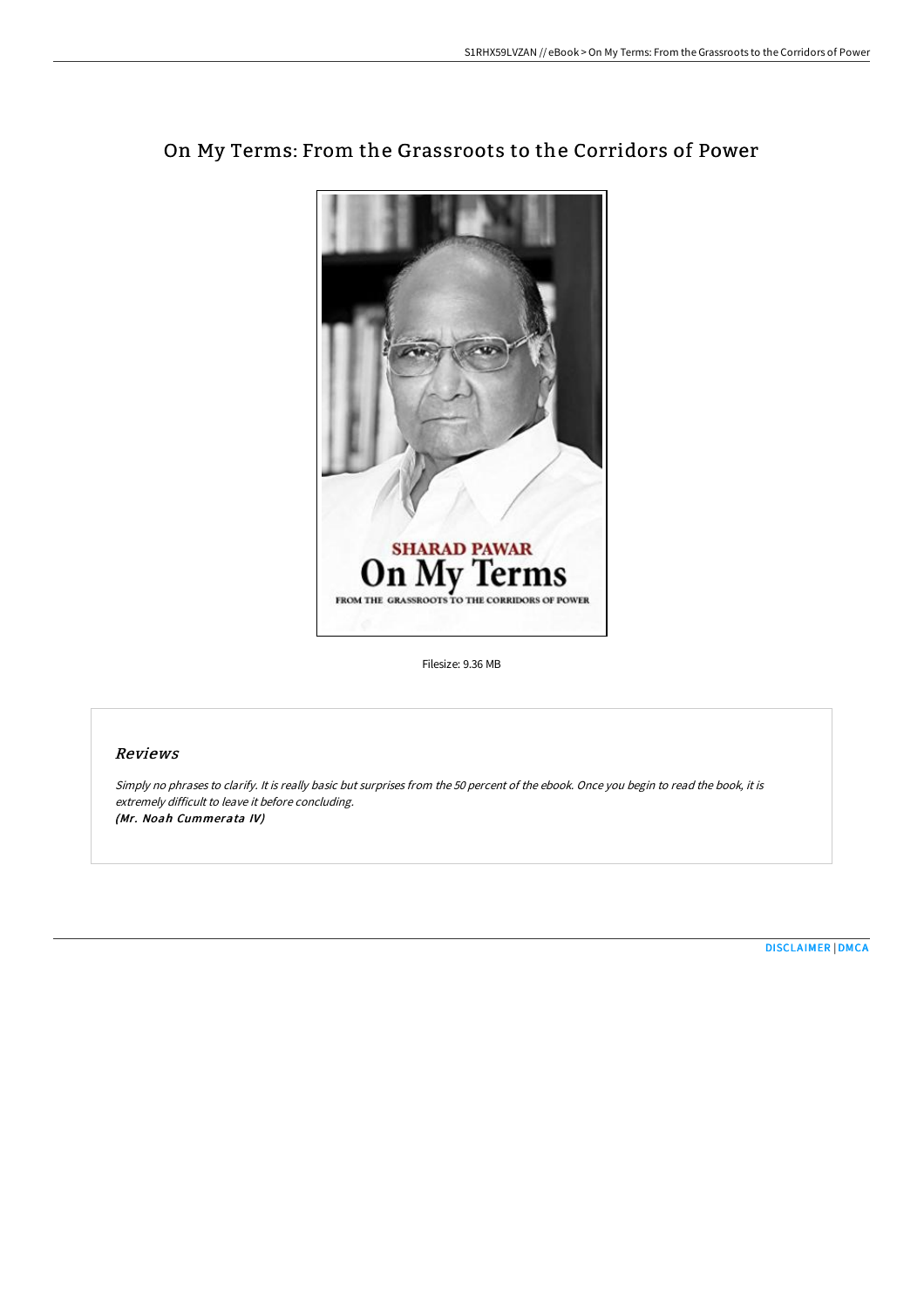

# On My Terms: From the Grassroots to the Corridors of Power

Filesize: 9.36 MB

### Reviews

Simply no phrases to clarify. It is really basic but surprises from the <sup>50</sup> percent of the ebook. Once you begin to read the book, it is extremely difficult to leave it before concluding. (Mr. Noah Cummerata IV)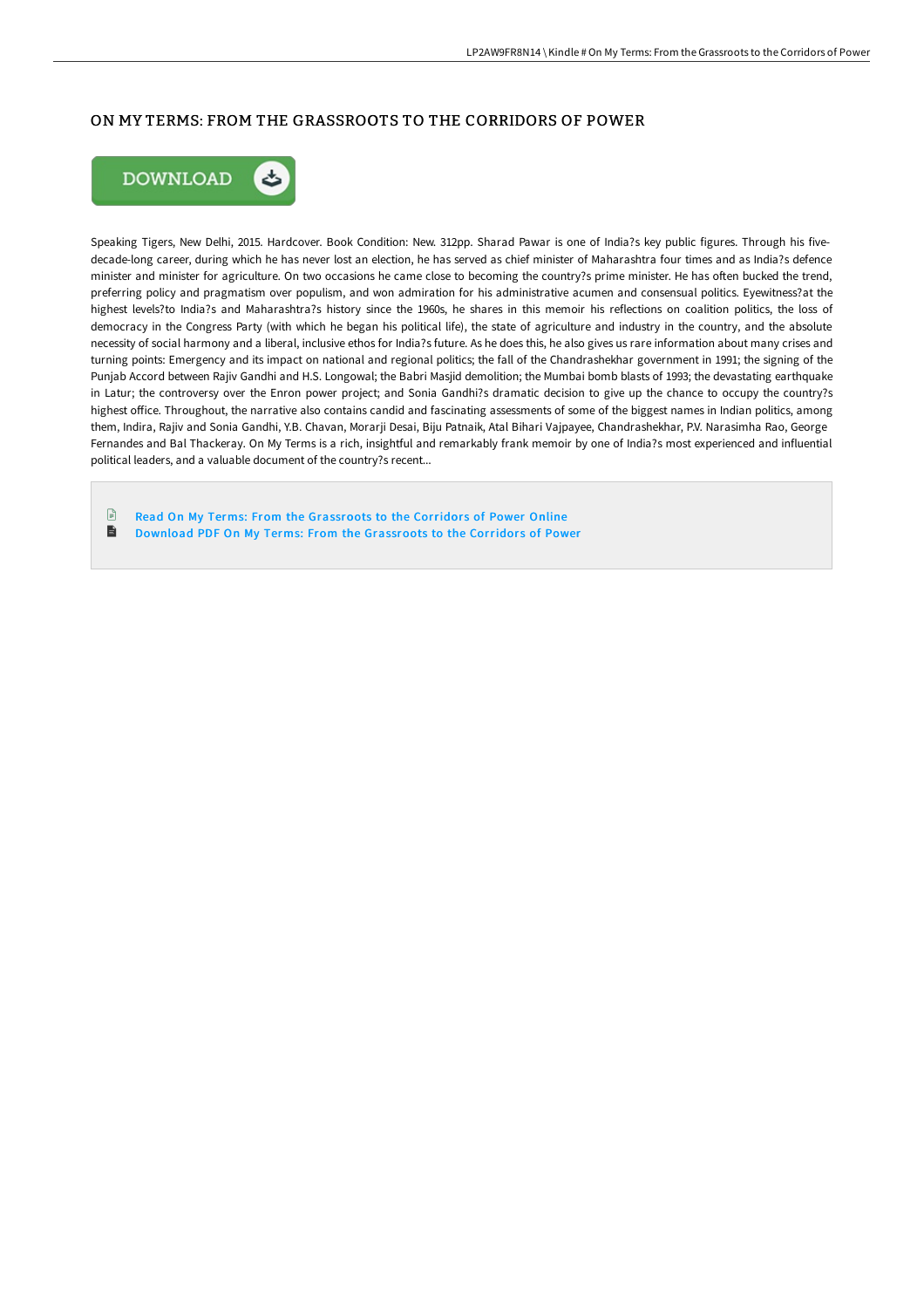## ON MY TERMS: FROM THE GRASSROOTS TO THE CORRIDORS OF POWER



Speaking Tigers, New Delhi, 2015. Hardcover. Book Condition: New. 312pp. Sharad Pawar is one of India?s key public figures. Through his fivedecade-long career, during which he has never lost an election, he has served as chief minister of Maharashtra four times and as India?s defence minister and minister for agriculture. On two occasions he came close to becoming the country?s prime minister. He has often bucked the trend, preferring policy and pragmatism over populism, and won admiration for his administrative acumen and consensual politics. Eyewitness?at the highest levels?to India?s and Maharashtra?s history since the 1960s, he shares in this memoir his reflections on coalition politics, the loss of democracy in the Congress Party (with which he began his political life), the state of agriculture and industry in the country, and the absolute necessity of social harmony and a liberal, inclusive ethos for India?s future. As he does this, he also gives us rare information about many crises and turning points: Emergency and its impact on national and regional politics; the fall of the Chandrashekhar government in 1991; the signing of the Punjab Accord between Rajiv Gandhi and H.S. Longowal; the Babri Masjid demolition; the Mumbai bomb blasts of 1993; the devastating earthquake in Latur; the controversy over the Enron power project; and Sonia Gandhi?s dramatic decision to give up the chance to occupy the country?s highest office. Throughout, the narrative also contains candid and fascinating assessments of some of the biggest names in Indian politics, among them, Indira, Rajiv and Sonia Gandhi, Y.B. Chavan, Morarji Desai, Biju Patnaik, Atal Bihari Vajpayee, Chandrashekhar, P.V. Narasimha Rao, George Fernandes and Bal Thackeray. On My Terms is a rich, insightful and remarkably frank memoir by one of India?s most experienced and influential political leaders, and a valuable document of the country?s recent...

 $\mathbb{R}$ Read On My Terms: From the [Grassroots](http://techno-pub.tech/on-my-terms-from-the-grassroots-to-the-corridors.html) to the Corridors of Power Online  $\blacksquare$ Download PDF On My Terms: From the [Grassroots](http://techno-pub.tech/on-my-terms-from-the-grassroots-to-the-corridors.html) to the Corridors of Power